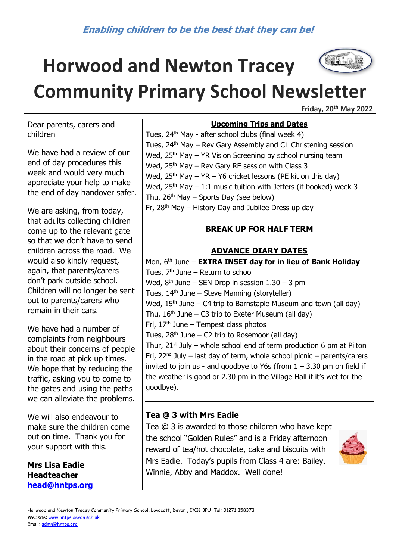# **Horwood and Newton Tracey Community Primary School Newsletter**

**Friday, 20th May 2022**

Dear parents, carers and children

We have had a review of our end of day procedures this week and would very much appreciate your help to make the end of day handover safer.

We are asking, from today, that adults collecting children come up to the relevant gate so that we don't have to send children across the road. We would also kindly request. again, that parents/carers don't park outside school. Children will no longer be sent out to parents/carers who remain in their cars.

We have had a number of complaints from neighbours about their concerns of people in the road at pick up times. We hope that by reducing the traffic, asking you to come to the gates and using the paths we can alleviate the problems.

We will also endeavour to make sure the children come out on time. Thank you for your support with this.

**Mrs Lisa Eadie Headteacher [head@hntps.org](mailto:head@hntps.org)**

## **Upcoming Trips and Dates**

Tues,  $24<sup>th</sup>$  May - after school clubs (final week 4) Tues, 24<sup>th</sup> May – Rev Gary Assembly and C1 Christening session Wed,  $25<sup>th</sup>$  May – YR Vision Screening by school nursing team Wed,  $25<sup>th</sup>$  May – Rev Gary RE session with Class 3 Wed,  $25<sup>th</sup>$  May – YR – Y6 cricket lessons (PE kit on this day) Wed,  $25<sup>th</sup>$  May – 1:1 music tuition with Jeffers (if booked) week 3 Thu,  $26<sup>th</sup>$  May – Sports Day (see below) Fr,  $28<sup>th</sup>$  May – History Day and Jubilee Dress up day

## **BREAK UP FOR HALF TERM**

## **ADVANCE DIARY DATES**

Mon, 6th June – **EXTRA INSET day for in lieu of Bank Holiday** Tues,  $7<sup>th</sup>$  June – Return to school Wed,  $8<sup>th</sup>$  June – SEN Drop in session  $1.30 - 3$  pm Tues, 14<sup>th</sup> June – Steve Manning (storyteller) Wed,  $15<sup>th</sup>$  June – C4 trip to Barnstaple Museum and town (all day) Thu,  $16<sup>th</sup>$  June – C3 trip to Exeter Museum (all day) Fri,  $17<sup>th</sup>$  June – Tempest class photos Tues,  $28<sup>th</sup>$  June – C2 trip to Rosemoor (all day) Thur,  $21^{st}$  July – whole school end of term production 6 pm at Pilton Fri,  $22^{nd}$  July – last day of term, whole school picnic – parents/carers invited to join us - and goodbye to Y6s (from  $1 - 3.30$  pm on field if the weather is good or 2.30 pm in the Village Hall if it's wet for the goodbye).

## **Tea @ 3 with Mrs Eadie**

Tea @ 3 is awarded to those children who have kept the school "Golden Rules" and is a Friday afternoon reward of tea/hot chocolate, cake and biscuits with Mrs Eadie. Today's pupils from Class 4 are: Bailey, Winnie, Abby and Maddox. Well done!



Horwood and Newton Tracey Community Primary School, Lovacott, Devon , EX31 3PU Tel: 01271 858373 Website[: www.hntps.devon.sch.uk](http://www.hntps.devon.sch.uk/) Email: [admn@hntps.org](mailto:admn@hntps.org)

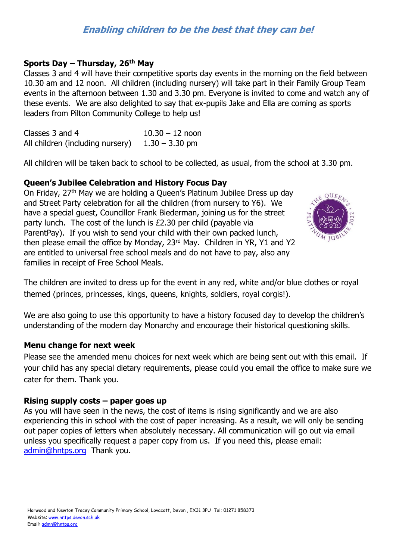#### **Sports Day – Thursday, 26th May**

Classes 3 and 4 will have their competitive sports day events in the morning on the field between 10.30 am and 12 noon. All children (including nursery) will take part in their Family Group Team events in the afternoon between 1.30 and 3.30 pm. Everyone is invited to come and watch any of these events. We are also delighted to say that ex-pupils Jake and Ella are coming as sports leaders from Pilton Community College to help us!

Classes 3 and 4  $10.30 - 12$  noon All children (including nursery)  $1.30 - 3.30$  pm

All children will be taken back to school to be collected, as usual, from the school at 3.30 pm.

#### **Queen's Jubilee Celebration and History Focus Day**

On Friday, 27<sup>th</sup> May we are holding a Queen's Platinum Jubilee Dress up day and Street Party celebration for all the children (from nursery to Y6). We have a special guest, Councillor Frank Biederman, joining us for the street party lunch. The cost of the lunch is £2.30 per child (payable via ParentPay). If you wish to send your child with their own packed lunch, then please email the office by Monday, 23<sup>rd</sup> May. Children in YR, Y1 and Y2 are entitled to universal free school meals and do not have to pay, also any families in receipt of Free School Meals.



The children are invited to dress up for the event in any red, white and/or blue clothes or royal themed (princes, princesses, kings, queens, knights, soldiers, royal corgis!).

We are also going to use this opportunity to have a history focused day to develop the children's understanding of the modern day Monarchy and encourage their historical questioning skills.

#### **Menu change for next week**

Please see the amended menu choices for next week which are being sent out with this email. If your child has any special dietary requirements, please could you email the office to make sure we cater for them. Thank you.

#### **Rising supply costs – paper goes up**

As you will have seen in the news, the cost of items is rising significantly and we are also experiencing this in school with the cost of paper increasing. As a result, we will only be sending out paper copies of letters when absolutely necessary. All communication will go out via email unless you specifically request a paper copy from us. If you need this, please email: [admin@hntps.org](mailto:admin@hntps.org) Thank you.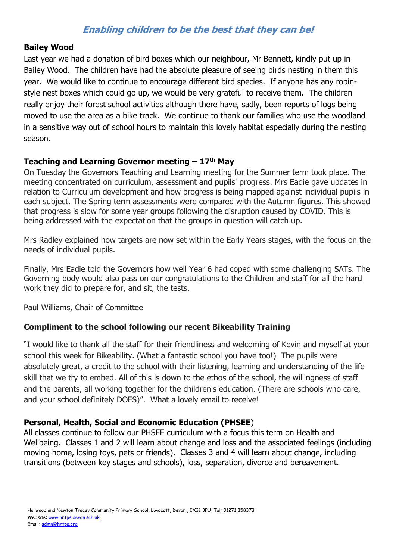#### **Bailey Wood**

Last year we had a donation of bird boxes which our neighbour, Mr Bennett, kindly put up in Bailey Wood. The children have had the absolute pleasure of seeing birds nesting in them this year. We would like to continue to encourage different bird species. If anyone has any robinstyle nest boxes which could go up, we would be very grateful to receive them. The children really enjoy their forest school activities although there have, sadly, been reports of logs being moved to use the area as a bike track. We continue to thank our families who use the woodland in a sensitive way out of school hours to maintain this lovely habitat especially during the nesting season.

## **Teaching and Learning Governor meeting – 17th May**

On Tuesday the Governors Teaching and Learning meeting for the Summer term took place. The meeting concentrated on curriculum, assessment and pupils' progress. Mrs Eadie gave updates in relation to Curriculum development and how progress is being mapped against individual pupils in each subject. The Spring term assessments were compared with the Autumn figures. This showed that progress is slow for some year groups following the disruption caused by COVID. This is being addressed with the expectation that the groups in question will catch up.

Mrs Radley explained how targets are now set within the Early Years stages, with the focus on the needs of individual pupils.

Finally, Mrs Eadie told the Governors how well Year 6 had coped with some challenging SATs. The Governing body would also pass on our congratulations to the Children and staff for all the hard work they did to prepare for, and sit, the tests.

Paul Williams, Chair of Committee

## **Compliment to the school following our recent Bikeability Training**

"I would like to thank all the staff for their friendliness and welcoming of Kevin and myself at your school this week for Bikeability. (What a fantastic school you have too!) The pupils were absolutely great, a credit to the school with their listening, learning and understanding of the life skill that we try to embed. All of this is down to the ethos of the school, the willingness of staff and the parents, all working together for the children's education. (There are schools who care, and your school definitely DOES)". What a lovely email to receive!

## **Personal, Health, Social and Economic Education (PHSEE**)

All classes continue to follow our PHSEE curriculum with a focus this term on Health and Wellbeing. Classes 1 and 2 will learn about change and loss and the associated feelings (including moving home, losing toys, pets or friends). Classes 3 and 4 will learn about change, including transitions (between key stages and schools), loss, separation, divorce and bereavement.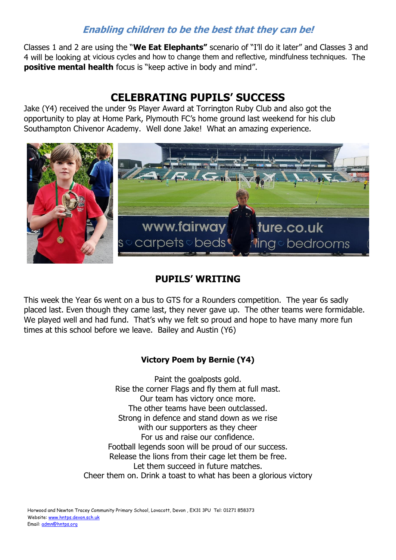Classes 1 and 2 are using the "**We Eat Elephants"** scenario of "I'll do it later" and Classes 3 and 4 will be looking at vicious cycles and how to change them and reflective, mindfulness techniques. The **positive mental health** focus is "keep active in body and mind".

# **CELEBRATING PUPILS' SUCCESS**

Jake (Y4) received the under 9s Player Award at Torrington Ruby Club and also got the opportunity to play at Home Park, Plymouth FC's home ground last weekend for his club Southampton Chivenor Academy. Well done Jake! What an amazing experience.



# **PUPILS' WRITING**

This week the Year 6s went on a bus to GTS for a Rounders competition. The year 6s sadly placed last. Even though they came last, they never gave up. The other teams were formidable. We played well and had fund. That's why we felt so proud and hope to have many more fun times at this school before we leave. Bailey and Austin (Y6)

## **Victory Poem by Bernie (Y4)**

Paint the goalposts gold. Rise the corner Flags and fly them at full mast. Our team has victory once more. The other teams have been outclassed. Strong in defence and stand down as we rise with our supporters as they cheer For us and raise our confidence. Football legends soon will be proud of our success. Release the lions from their cage let them be free. Let them succeed in future matches. Cheer them on. Drink a toast to what has been a glorious victory